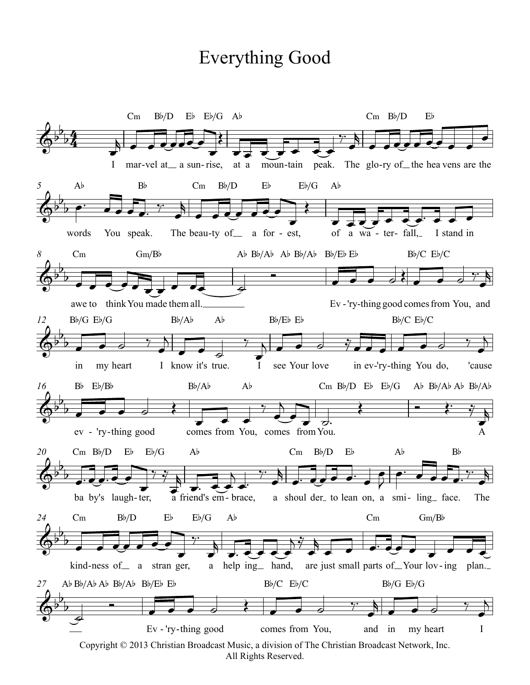## **Everything Good**